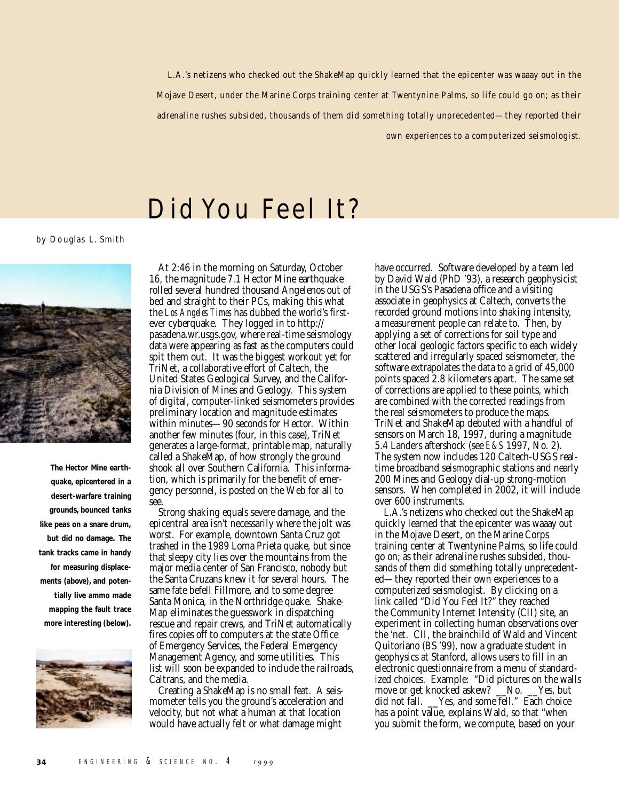L.A.'s netizens who checked out the ShakeMap quickly learned that the epicenter was waaay out in the Mojave Desert, under the Marine Corps training center at Twentynine Palms, so life could go on; as their adrenaline rushes subsided, thousands of them did something totally unprecedented—they reported their

own experiences to a computerized seismologist.

## Did You Feel It?

by Douglas L. Smith



**The Hector Mine earthquake, epicentered in a desert-warfare training grounds, bounced tanks like peas on a snare drum, but did no damage. The tank tracks came in handy for measuring displacements (above), and potentially live ammo made mapping the fault trace more interesting (below).**



At 2:46 in the morning on Saturday, October 16, the magnitude 7.1 Hector Mine earthquake rolled several hundred thousand Angelenos out of bed and straight to their PCs, making this what the *Los Angeles Times* has dubbed the world's firstever cyberquake. They logged in to http:// pasadena.wr.usgs.gov, where real-time seismology data were appearing as fast as the computers could spit them out. It was the biggest workout yet for TriNet, a collaborative effort of Caltech, the United States Geological Survey, and the California Division of Mines and Geology. This system of digital, computer-linked seismometers provides preliminary location and magnitude estimates within minutes—90 seconds for Hector. Within another few minutes (four, in this case), TriNet generates a large-format, printable map, naturally called a ShakeMap, of how strongly the ground shook all over Southern California. This information, which is primarily for the benefit of emergency personnel, is posted on the Web for all to see.

Strong shaking equals severe damage, and the epicentral area isn't necessarily where the jolt was worst. For example, downtown Santa Cruz got trashed in the 1989 Loma Prieta quake, but since that sleepy city lies over the mountains from the major media center of San Francisco, nobody but the Santa Cruzans knew it for several hours. The same fate befell Fillmore, and to some degree Santa Monica, in the Northridge quake. Shake-Map eliminates the guesswork in dispatching rescue and repair crews, and TriNet automatically fires copies off to computers at the state Office of Emergency Services, the Federal Emergency Management Agency, and some utilities. This list will soon be expanded to include the railroads, Caltrans, and the media.

Creating a ShakeMap is no small feat. A seismometer tells you the ground's acceleration and velocity, but not what a human at that location would have actually felt or what damage might

have occurred. Software developed by a team led by David Wald (PhD '93), a research geophysicist in the USGS's Pasadena office and a visiting associate in geophysics at Caltech, converts the recorded ground motions into shaking intensity, a measurement people can relate to. Then, by applying a set of corrections for soil type and other local geologic factors specific to each widely scattered and irregularly spaced seismometer, the software extrapolates the data to a grid of 45,000 points spaced 2.8 kilometers apart. The same set of corrections are applied to these points, which are combined with the corrected readings from the real seismometers to produce the maps. TriNet and ShakeMap debuted with a handful of sensors on March 18, 1997, during a magnitude 5.4 Landers aftershock (see *E&S* 1997, No. 2). The system now includes 120 Caltech-USGS realtime broadband seismographic stations and nearly 200 Mines and Geology dial-up strong-motion sensors. When completed in 2002, it will include over 600 instruments.

L.A.'s netizens who checked out the ShakeMap quickly learned that the epicenter was waaay out in the Mojave Desert, on the Marine Corps training center at Twentynine Palms, so life could go on; as their adrenaline rushes subsided, thousands of them did something totally unprecedented—they reported their own experiences to a computerized seismologist. By clicking on a link called "Did You Feel It?" they reached the Community Internet Intensity (CII) site, an experiment in collecting human observations over the 'net. CII, the brainchild of Wald and Vincent Quitoriano (BS '99), now a graduate student in geophysics at Stanford, allows users to fill in an electronic questionnaire from a menu of standardized choices. Example: "Did pictures on the walls move or get knocked askew? No. Yes, but did not fall. \_\_Yes, and some fell." Each choice has a point value, explains Wald, so that "when you submit the form, we compute, based on your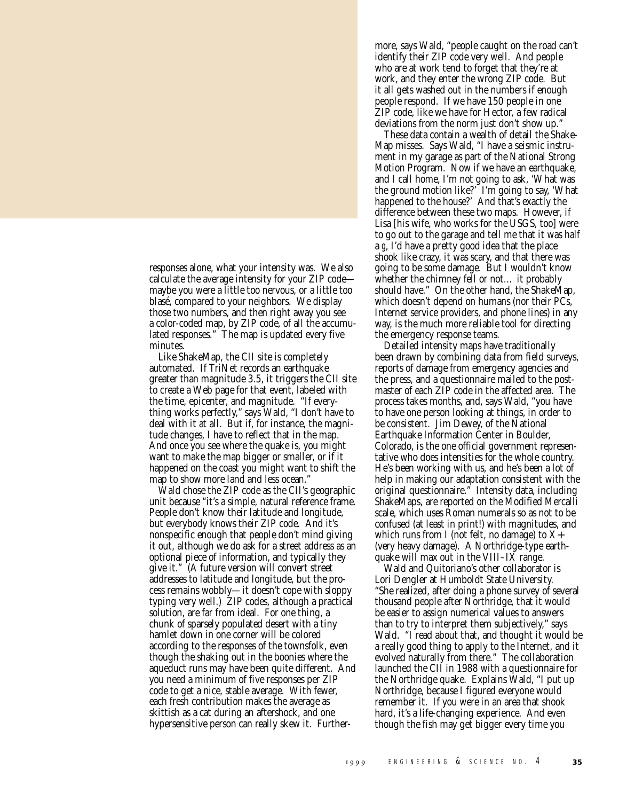responses alone, what your intensity was. We also calculate the average intensity for your ZIP code maybe you were a little too nervous, or a little too blasé, compared to your neighbors. We display those two numbers, and then right away you see a color-coded map, by ZIP code, of all the accumulated responses." The map is updated every five minutes.

Like ShakeMap, the CII site is completely automated. If TriNet records an earthquake greater than magnitude 3.5, it triggers the CII site to create a Web page for that event, labeled with the time, epicenter, and magnitude. "If everything works perfectly," says Wald, "I don't have to deal with it at all. But if, for instance, the magnitude changes, I have to reflect that in the map. And once you see where the quake is, you might want to make the map bigger or smaller, or if it happened on the coast you might want to shift the map to show more land and less ocean."

Wald chose the ZIP code as the CII's geographic unit because "it's a simple, natural reference frame. People don't know their latitude and longitude, but everybody knows their ZIP code. And it's nonspecific enough that people don't mind giving it out, although we do ask for a street address as an optional piece of information, and typically they give it." (A future version will convert street addresses to latitude and longitude, but the process remains wobbly—it doesn't cope with sloppy typing very well.) ZIP codes, although a practical solution, are far from ideal. For one thing, a chunk of sparsely populated desert with a tiny hamlet down in one corner will be colored according to the responses of the townsfolk, even though the shaking out in the boonies where the aqueduct runs may have been quite different. And you need a minimum of five responses per ZIP code to get a nice, stable average. With fewer, each fresh contribution makes the average as skittish as a cat during an aftershock, and one hypersensitive person can really skew it. Furthermore, says Wald, "people caught on the road can't identify their ZIP code very well. And people who are at work tend to forget that they're at work, and they enter the wrong ZIP code. But it all gets washed out in the numbers if enough people respond. If we have 150 people in one ZIP code, like we have for Hector, a few radical deviations from the norm just don't show up."

These data contain a wealth of detail the Shake-Map misses. Says Wald, "I have a seismic instrument in my garage as part of the National Strong Motion Program. Now if we have an earthquake, and I call home, I'm not going to ask, 'What was the ground motion like?' I'm going to say, 'What happened to the house?' And that's exactly the difference between these two maps. However, if Lisa [his wife, who works for the USGS, too] were to go out to the garage and tell me that it was half a *g*, I'd have a pretty good idea that the place shook like crazy, it was scary, and that there was going to be some damage. But I wouldn't know whether the chimney fell or not… it probably should have." On the other hand, the ShakeMap, which doesn't depend on humans (nor their PCs, Internet service providers, and phone lines) in any way, is the much more reliable tool for directing the emergency response teams.

Detailed intensity maps have traditionally been drawn by combining data from field surveys, reports of damage from emergency agencies and the press, and a questionnaire mailed to the postmaster of each ZIP code in the affected area. The process takes months, and, says Wald, "you have to have one person looking at things, in order to be consistent. Jim Dewey, of the National Earthquake Information Center in Boulder, Colorado, is the one official government representative who does intensities for the whole country. He's been working with us, and he's been a lot of help in making our adaptation consistent with the original questionnaire." Intensity data, including ShakeMaps, are reported on the Modified Mercalli scale, which uses Roman numerals so as not to be confused (at least in print!) with magnitudes, and which runs from I (not felt, no damage) to  $X+$ (very heavy damage). A Northridge-type earthquake will max out in the VIII–IX range.

Wald and Quitoriano's other collaborator is Lori Dengler at Humboldt State University. "She realized, after doing a phone survey of several thousand people after Northridge, that it would be easier to assign numerical values to answers than to try to interpret them subjectively," says Wald. "I read about that, and thought it would be a really good thing to apply to the Internet, and it evolved naturally from there." The collaboration launched the CII in 1988 with a questionnaire for the Northridge quake. Explains Wald, "I put up Northridge, because I figured everyone would remember it. If you were in an area that shook hard, it's a life-changing experience. And even though the fish may get bigger every time you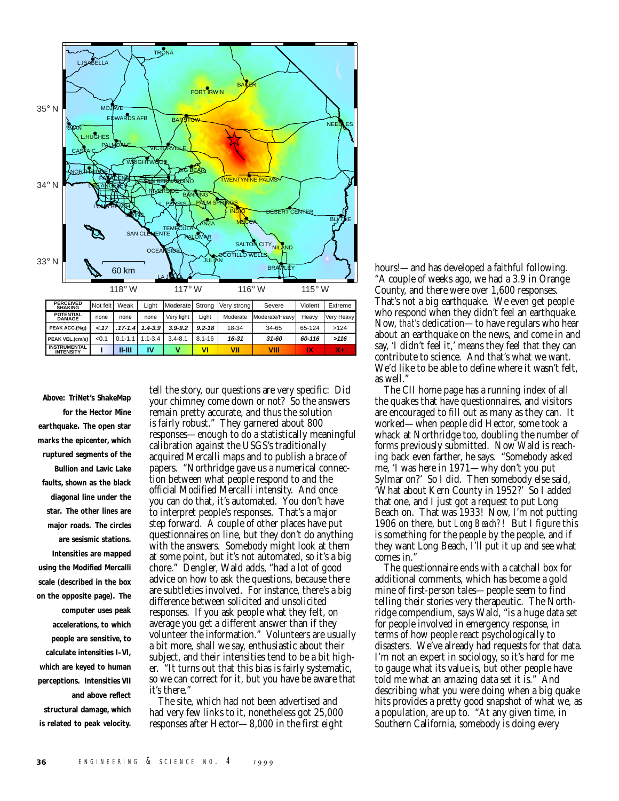

**Above: TriNet's ShakeMap for the Hector Mine earthquake. The open star marks the epicenter, which ruptured segments of the Bullion and Lavic Lake faults, shown as the black diagonal line under the star. The other lines are major roads. The circles are sesismic stations. Intensities are mapped using the Modified Mercalli scale (described in the box on the opposite page). The computer uses peak accelerations, to which people are sensitive, to calculate intensities I–VI, which are keyed to human perceptions. Intensities VII and above reflect structural damage, which is related to peak velocity.**

tell the story, our questions are very specific: Did your chimney come down or not? So the answers remain pretty accurate, and thus the solution is fairly robust." They garnered about 800 responses—enough to do a statistically meaningful calibration against the USGS's traditionally acquired Mercalli maps and to publish a brace of papers. "Northridge gave us a numerical connection between what people respond to and the official Modified Mercalli intensity. And once you can do that, it's automated. You don't have to interpret people's responses. That's a major step forward. A couple of other places have put questionnaires on line, but they don't do anything with the answers. Somebody might look at them at some point, but it's not automated, so it's a big chore." Dengler, Wald adds, "had a lot of good advice on how to ask the questions, because there are subtleties involved. For instance, there's a big difference between solicited and unsolicited responses. If you ask people what they felt, on average you get a different answer than if they volunteer the information." Volunteers are usually a bit more, shall we say, enthusiastic about their subject, and their intensities tend to be a bit higher. "It turns out that this bias is fairly systematic, so we can correct for it, but you have be aware that it's there."

The site, which had not been advertised and had very few links to it, nonetheless got 25,000 responses after Hector—8,000 in the first eight hours!—and has developed a faithful following. "A couple of weeks ago, we had a 3.9 in Orange County, and there were over 1,600 responses. That's not a big earthquake. We even get people who respond when they didn't feel an earthquake. Now, *that's* dedication—to have regulars who hear about an earthquake on the news, and come in and say, 'I didn't feel it,' means they feel that they can contribute to science. And that's what we want. We'd like to be able to define where it wasn't felt, as well."

The CII home page has a running index of all the quakes that have questionnaires, and visitors are encouraged to fill out as many as they can. It worked—when people did Hector, some took a whack at Northridge too, doubling the number of forms previously submitted. Now Wald is reaching back even farther, he says. "Somebody asked me, 'I was here in 1971—why don't you put Sylmar on?' So I did. Then somebody else said, 'What about Kern County in 1952?' So I added that one, and I just got a request to put Long Beach on. That was 1933! Now, I'm not putting 1906 on there, but *Long Beach?!* But I figure this is something for the people by the people, and if they want Long Beach, I'll put it up and see what comes in."

The questionnaire ends with a catchall box for additional comments, which has become a gold mine of first-person tales—people seem to find telling their stories very therapeutic. The Northridge compendium, says Wald, "is a huge data set for people involved in emergency response, in terms of how people react psychologically to disasters. We've already had requests for that data. I'm not an expert in sociology, so it's hard for me to gauge what its value is, but other people have told me what an amazing data set it is." And describing what you were doing when a big quake hits provides a pretty good snapshot of what we, as a population, are up to. "At any given time, in Southern California, somebody is doing every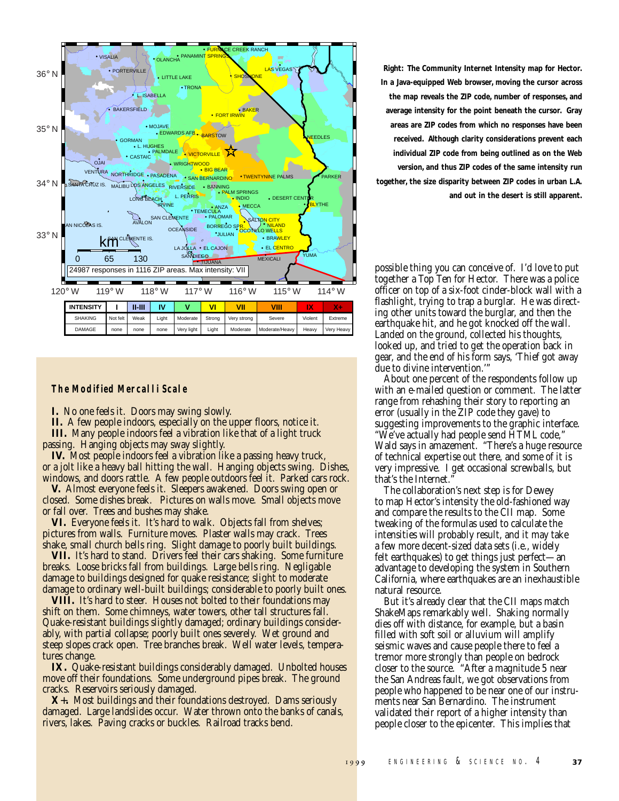

## **The Modified Mercalli Scale**

**I.** No one feels it. Doors may swing slowly.

**II.** A few people indoors, especially on the upper floors, notice it. **III.** Many people indoors feel a vibration like that of a light truck passing. Hanging objects may sway slightly.

**IV.** Most people indoors feel a vibration like a passing heavy truck, or a jolt like a heavy ball hitting the wall. Hanging objects swing. Dishes, windows, and doors rattle. A few people outdoors feel it. Parked cars rock.

**V.** Almost everyone feels it. Sleepers awakened. Doors swing open or closed. Some dishes break. Pictures on walls move. Small objects move or fall over. Trees and bushes may shake.

**VI.** Everyone feels it. It's hard to walk. Objects fall from shelves; pictures from walls. Furniture moves. Plaster walls may crack. Trees shake, small church bells ring. Slight damage to poorly built buildings.

**VII.** It's hard to stand. Drivers feel their cars shaking. Some furniture breaks. Loose bricks fall from buildings. Large bells ring. Negligable damage to buildings designed for quake resistance; slight to moderate damage to ordinary well-built buildings; considerable to poorly built ones.

**VIII.** It's hard to steer. Houses not bolted to their foundations may shift on them. Some chimneys, water towers, other tall structures fall. Quake-resistant buildings slightly damaged; ordinary buildings considerably, with partial collapse; poorly built ones severely. Wet ground and steep slopes crack open. Tree branches break. Well water levels, temperatures change.

**IX.** Quake-resistant buildings considerably damaged. Unbolted houses move off their foundations. Some underground pipes break. The ground cracks. Reservoirs seriously damaged.

**X**+**.** Most buildings and their foundations destroyed. Dams seriously damaged. Large landslides occur. Water thrown onto the banks of canals, rivers, lakes. Paving cracks or buckles. Railroad tracks bend.

**Right: The Community Internet Intensity map for Hector. In a Java-equipped Web browser, moving the cursor across the map reveals the ZIP code, number of responses, and average intensity for the point beneath the cursor. Gray areas are ZIP codes from which no responses have been received. Although clarity considerations prevent each individual ZIP code from being outlined as on the Web version, and thus ZIP codes of the same intensity run together, the size disparity between ZIP codes in urban L.A. and out in the desert is still apparent.**

possible thing you can conceive of. I'd love to put together a Top Ten for Hector. There was a police officer on top of a six-foot cinder-block wall with a flashlight, trying to trap a burglar. He was directing other units toward the burglar, and then the earthquake hit, and he got knocked off the wall. Landed on the ground, collected his thoughts, looked up, and tried to get the operation back in gear, and the end of his form says, 'Thief got away due to divine intervention.'"

About one percent of the respondents follow up with an e-mailed question or comment. The latter range from rehashing their story to reporting an error (usually in the ZIP code they gave) to suggesting improvements to the graphic interface. "We've actually had people send HTML code," Wald says in amazement. "There's a huge resource of technical expertise out there, and some of it is very impressive. I get occasional screwballs, but that's the Internet.

The collaboration's next step is for Dewey to map Hector's intensity the old-fashioned way and compare the results to the CII map. Some tweaking of the formulas used to calculate the intensities will probably result, and it may take a few more decent-sized data sets (i.e., widely felt earthquakes) to get things just perfect—an advantage to developing the system in Southern California, where earthquakes are an inexhaustible natural resource.

But it's already clear that the CII maps match ShakeMaps remarkably well. Shaking normally dies off with distance, for example, but a basin filled with soft soil or alluvium will amplify seismic waves and cause people there to feel a tremor more strongly than people on bedrock closer to the source. "After a magnitude 5 near the San Andreas fault, we got observations from people who happened to be near one of our instruments near San Bernardino. The instrument validated their report of a higher intensity than people closer to the epicenter. This implies that